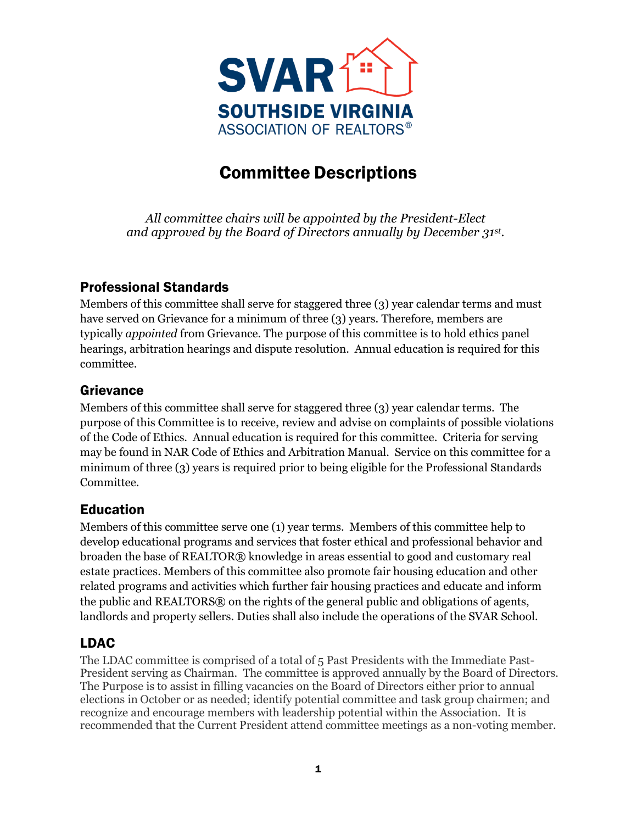

# Committee Descriptions

*All committee chairs will be appointed by the President-Elect and approved by the Board of Directors annually by December 31 st .*

## Professional Standards

Members of this committee shall serve for staggered three (3) year calendar terms and must have served on Grievance for a minimum of three (3) years. Therefore, members are typically *appointed* from Grievance. The purpose of this committee is to hold ethics panel hearings, arbitration hearings and dispute resolution. Annual education is required for this committee.

#### Grievance

Members of this committee shall serve for staggered three (3) year calendar terms. The purpose of this Committee is to receive, review and advise on complaints of possible violations of the Code of Ethics. Annual education is required for this committee. Criteria for serving may be found in NAR Code of Ethics and Arbitration Manual. Service on this committee for a minimum of three (3) years is required prior to being eligible for the Professional Standards Committee.

## Education

Members of this committee serve one (1) year terms. Members of this committee help to develop educational programs and services that foster ethical and professional behavior and broaden the base of REALTOR® knowledge in areas essential to good and customary real estate practices. Members of this committee also promote fair housing education and other related programs and activities which further fair housing practices and educate and inform the public and REALTORS® on the rights of the general public and obligations of agents, landlords and property sellers. Duties shall also include the operations of the SVAR School.

## LDAC

The LDAC committee is comprised of a total of 5 Past Presidents with the Immediate Past-President serving as Chairman. The committee is approved annually by the Board of Directors. The Purpose is to assist in filling vacancies on the Board of Directors either prior to annual elections in October or as needed; identify potential committee and task group chairmen; and recognize and encourage members with leadership potential within the Association. It is recommended that the Current President attend committee meetings as a non-voting member.